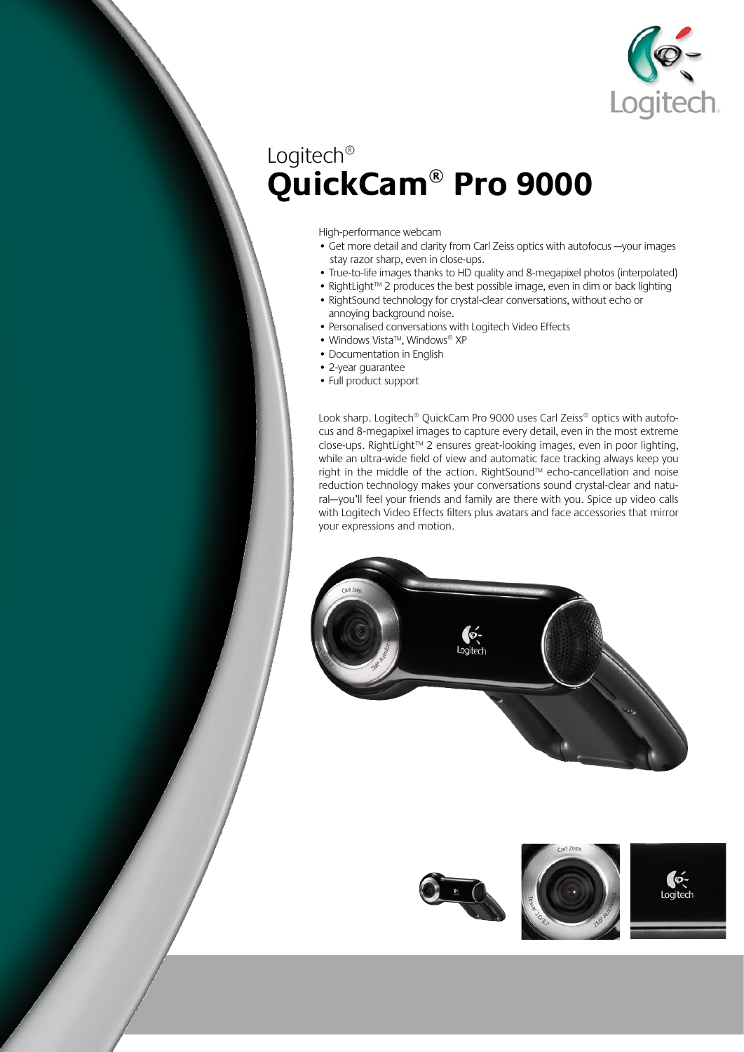

## Logitech® **QuickCam® Pro 9000**

High-performance webcam

- Get more detail and clarity from Carl Zeiss optics with autofocus —your images stay razor sharp, even in close-ups.
- True-to-life images thanks to HD quality and 8-megapixel photos (interpolated)
- RightLight™ 2 produces the best possible image, even in dim or back lighting
- RightSound technology for crystal-clear conversations, without echo or annoying background noise.
- Personalised conversations with Logitech Video Effects
- Windows Vista™, Windows® XP
- Documentation in English
- 2-year guarantee
- Full product support

Look sharp. Logitech® QuickCam Pro 9000 uses Carl Zeiss® optics with autofocus and 8-megapixel images to capture every detail, even in the most extreme close-ups. RightLight™ 2 ensures great-looking images, even in poor lighting, while an ultra-wide field of view and automatic face tracking always keep you right in the middle of the action. RightSound™ echo-cancellation and noise reduction technology makes your conversations sound crystal-clear and natural—you'll feel your friends and family are there with you. Spice up video calls with Logitech Video Effects filters plus avatars and face accessories that mirror your expressions and motion.